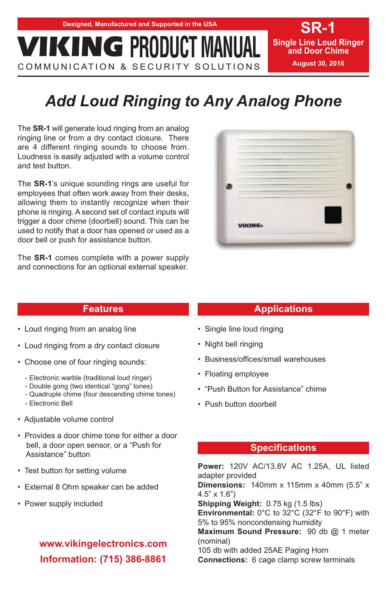COMMUNICATION & SECURITY SOLUTIONS

**SR-1 Single Line Loud Ringer and Door Chime August 30, 2016**

# *Add Loud Ringing to Any Analog Phone*

The **SR-1** will generate loud ringing from an analog ringing line or from a dry contact closure. There are 4 different ringing sounds to choose from. Loudness is easily adjusted with a volume control and test button.

The **SR-1**'s unique sounding rings are useful for employees that often work away from their desks, allowing them to instantly recognize when their phone is ringing. A second set of contact inputs will trigger a door chime (doorbell) sound. This can be used to notify that a door has opened or used as a door bell or push for assistance button.

The **SR-1** comes complete with a power supply and connections for an optional external speaker.



### **Features**

- Loud ringing from an analog line
- Loud ringing from a dry contact closure
- Choose one of four ringing sounds:
	- Electronic warble (traditional loud ringer)
	- Double gong (two identical "gong" tones)
	- Quadruple chime (four descending chime tones)
	- Electronic Bell
- Adjustable volume control
- Provides a door chime tone for either a door bell, a door open sensor, or a "Push for Assistance" button
- Test button for setting volume
- External 8 Ohm speaker can be added
- Power supply included

## **www.vikingelectronics.com Information: (715) 386-8861**

### **Applications**

- Single line loud ringing
- Night bell ringing
- Business/offices/small warehouses
- Floating employee
- "Push Button for Assistance" chime
- Push button doorbell

### **Specifications**

**Power:** 120V AC/13.8V AC 1.25A, UL listed adapter provided

**Dimensions:** 140mm x 115mm x 40mm (5.5" x 4.5" x 1.6")

**Shipping Weight:** 0.75 kg (1.5 lbs)

**Environmental:** 0°C to 32°C (32°F to 90°F) with 5% to 95% noncondensing humidity

**Maximum Sound Pressure:** 90 db @ 1 meter (nominal)

105 db with added 25AE Paging Horn **Connections:** 6 cage clamp screw terminals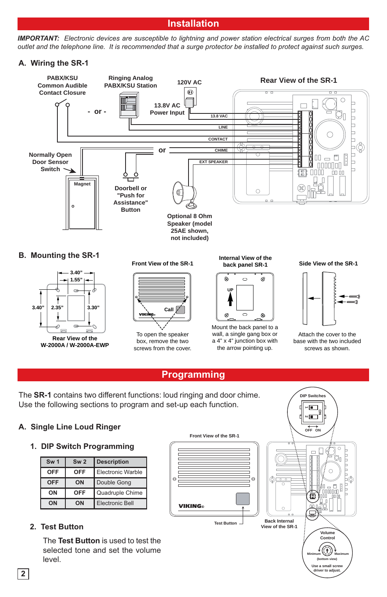### **Installation**

*IMPORTANT: Electronic devices are susceptible to lightning and power station electrical surges from both the AC outlet and the telephone line. It is recommended that a surge protector be installed to protect against such surges.* 

### **A. Wiring the SR-1**



### **Programming**

The **SR-1** contains two different functions: loud ringing and door chime. Use the following sections to program and set-up each function.

### **A. Single Line Loud Ringer**

### **1. DIP Switch Programming**

| Sw <sub>1</sub> | Sw <sub>2</sub> | <b>Description</b> |    |
|-----------------|-----------------|--------------------|----|
| <b>OFF</b>      | OFF             | Electronic Warble  |    |
| <b>OFF</b>      | ON              | Double Gong        | ⊖  |
| ON              | <b>OFF</b>      | Quadruple Chime    |    |
| ON              | ON              | Electronic Bell    | Ge |

### **2. Test Button**

The **Test Button** is used to test the selected tone and set the volume level.



**ON**

Use a small sc **driver to adjust.**

**DIP Switches**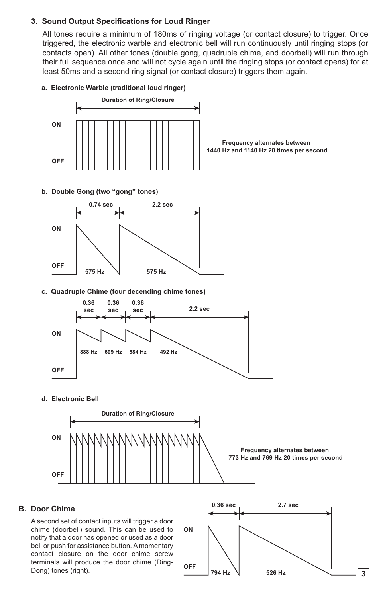#### **3. Sound Output Specifications for Loud Ringer**

All tones require a minimum of 180ms of ringing voltage (or contact closure) to trigger. Once triggered, the electronic warble and electronic bell will run continuously until ringing stops (or contacts open). All other tones (double gong, quadruple chime, and doorbell) will run through their full sequence once and will not cycle again until the ringing stops (or contact opens) for at least 50ms and a second ring signal (or contact closure) triggers them again.

#### **a. Electronic Warble (traditional loud ringer)**



A second set of contact inputs will trigger a door chime (doorbell) sound. This can be used to notify that a door has opened or used as a door bell or push for assistance button. A momentary contact closure on the door chime screw terminals will produce the door chime (Ding-Dong) tones (right).